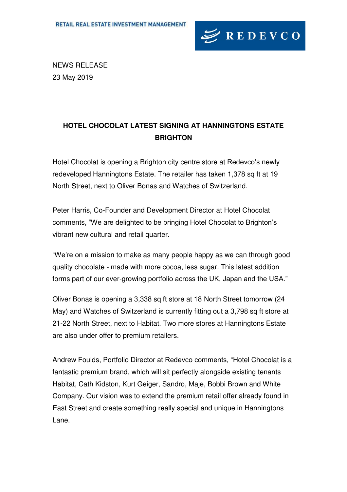

NEWS RELEASE 23 May 2019

## **HOTEL CHOCOLAT LATEST SIGNING AT HANNINGTONS ESTATE BRIGHTON**

Hotel Chocolat is opening a Brighton city centre store at Redevco's newly redeveloped Hanningtons Estate. The retailer has taken 1,378 sq ft at 19 North Street, next to Oliver Bonas and Watches of Switzerland.

Peter Harris, Co-Founder and Development Director at Hotel Chocolat comments, "We are delighted to be bringing Hotel Chocolat to Brighton's vibrant new cultural and retail quarter.

"We're on a mission to make as many people happy as we can through good quality chocolate - made with more cocoa, less sugar. This latest addition forms part of our ever-growing portfolio across the UK, Japan and the USA."

Oliver Bonas is opening a 3,338 sq ft store at 18 North Street tomorrow (24 May) and Watches of Switzerland is currently fitting out a 3.798 sq ft store at 21-22 North Street, next to Habitat. Two more stores at Hanningtons Estate are also under offer to premium retailers.

Andrew Foulds, Portfolio Director at Redevco comments, "Hotel Chocolat is a fantastic premium brand, which will sit perfectly alongside existing tenants Habitat, Cath Kidston, Kurt Geiger, Sandro, Maje, Bobbi Brown and White Company. Our vision was to extend the premium retail offer already found in East Street and create something really special and unique in Hanningtons Lane.